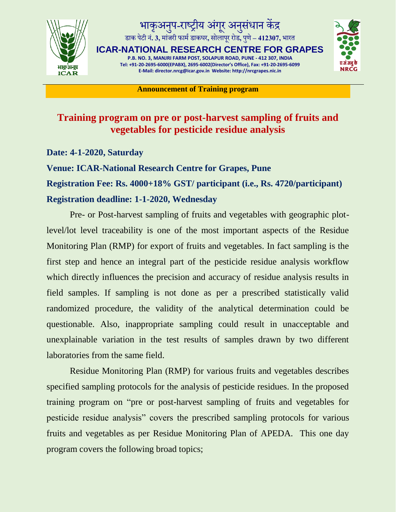

## भाकृअनुप प-राष्ट्रीय अंगूर अनुसंधान केंद्र डाक पटेीन**. 3,** ं मांजरी फाममडाकघर**,** सोलापरूरोड**,** पणुे**– 412307,** भारत

**ICAR-NATIONAL RESEARCH CENTRE FOR GRAPES P.B. NO. 3, MANJRI FARM POST, SOLAPUR ROAD, PUNE - 412 307, INDIA Tel: +91-20-2695-6000(EPABX), 2695-6002(Director's Office), Fax: +91-20-2695-6099 E-Mail: director.nrcg@icar.gov.in Website: http://nrcgrapes.nic.in**



**Announcement of Training program**

## **Training program on pre or post-harvest sampling of fruits and vegetables for pesticide residue analysis**

**Date: 4-1-2020, Saturday**

**Venue: ICAR-National Research Centre for Grapes, Pune Registration Fee: Rs. 4000+18% GST/ participant (i.e., Rs. 4720/participant) Registration deadline: 1-1-2020, Wednesday**

Pre- or Post-harvest sampling of fruits and vegetables with geographic plotlevel/lot level traceability is one of the most important aspects of the Residue Monitoring Plan (RMP) for export of fruits and vegetables. In fact sampling is the first step and hence an integral part of the pesticide residue analysis workflow which directly influences the precision and accuracy of residue analysis results in field samples. If sampling is not done as per a prescribed statistically valid randomized procedure, the validity of the analytical determination could be questionable. Also, inappropriate sampling could result in unacceptable and unexplainable variation in the test results of samples drawn by two different laboratories from the same field.

Residue Monitoring Plan (RMP) for various fruits and vegetables describes specified sampling protocols for the analysis of pesticide residues. In the proposed training program on "pre or post-harvest sampling of fruits and vegetables for pesticide residue analysis" covers the prescribed sampling protocols for various fruits and vegetables as per Residue Monitoring Plan of APEDA. This one day program covers the following broad topics;